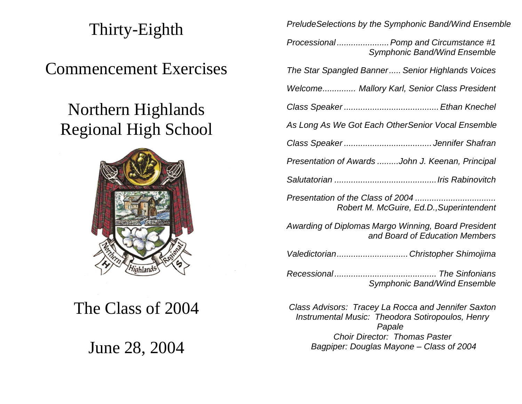# Thirty-Eighth

### Commencement Exercises

## Northern Highlands Regional High School



The Class of 2004

June 28, 2004

*PreludeSelections by the Symphonic Band/Wind Ensemble*

| Processional  Pomp and Circumstance #1<br><b>Symphonic Band/Wind Ensemble</b>         |
|---------------------------------------------------------------------------------------|
| The Star Spangled Banner Senior Highlands Voices                                      |
| Welcome Mallory Karl, Senior Class President                                          |
|                                                                                       |
| As Long As We Got Each OtherSenior Vocal Ensemble                                     |
|                                                                                       |
| Presentation of Awards John J. Keenan, Principal                                      |
|                                                                                       |
| Presentation of the Class of 2004<br>Robert M. McGuire, Ed.D., Superintendent         |
| Awarding of Diplomas Margo Winning, Board President<br>and Board of Education Members |

*Valedictorian..............................Christopher Shimojima*

*Recessional ........................................... The Sinfonians Symphonic Band/Wind Ensemble*

*Class Advisors: Tracey La Rocca and Jennifer Saxton Instrumental Music: Theodora Sotiropoulos, Henry Papale Choir Director: Thomas Paster Bagpiper: Douglas Mayone – Class of 2004*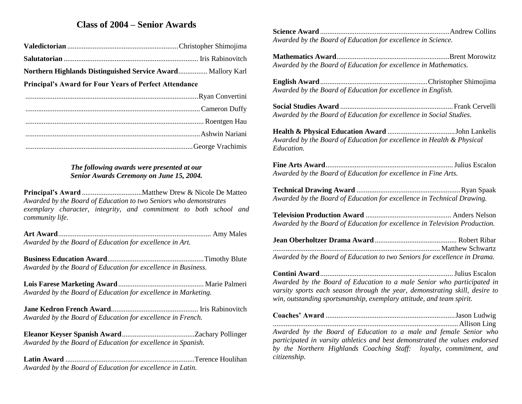### **Class of 2004 – Senior Awards**

|--|--|--|--|

**Northern Highlands Distinguished Service Award**................ Mallory Karl

**Principal's Award for Four Years of Perfect Attendance**

#### *The following awards were presented at our Senior Awards Ceremony on June 15, 2004.*

**Principal's Award** .................................Matthew Drew & Nicole De Matteo *Awarded by the Board of Education to two Seniors who demonstrates exemplary character, integrity, and commitment to both school and community life.*

**Art Award**.................................................................................... Amy Males *Awarded by the Board of Education for excellence in Art.*

**Business Education Award**.....................................................Timothy Blute *Awarded by the Board of Education for excellence in Business.*

**Lois Farese Marketing Award**............................................... Marie Palmeri *Awarded by the Board of Education for excellence in Marketing.*

**Jane Kedron French Award**................................................ Iris Rabinovitch *Awarded by the Board of Education for excellence in French.*

**Eleanor Keyser Spanish Award**........................................Zachary Pollinger *Awarded by the Board of Education for excellence in Spanish.*

**Latin Award** .......................................................................Terence Houlihan *Awarded by the Board of Education for excellence in Latin.*

**Science Award** .......................................................................Andrew Collins *Awarded by the Board of Education for excellence in Science.*

**Mathematics Award**..............................................................Brent Morowitz *Awarded by the Board of Education for excellence in Mathematics.*

**English Award**...........................................................Christopher Shimojima *Awarded by the Board of Education for excellence in English.*

**Social Studies Award** ..............................................................Frank Cervelli *Awarded by the Board of Education for excellence in Social Studies.*

**Health & Physical Education Award** .....................................John Lankelis *Awarded by the Board of Education for excellence in Health & Physical Education.*

**Fine Arts Award**......................................................................Julius Escalon *Awarded by the Board of Education for excellence in Fine Arts.*

**Technical Drawing Award** .........................................................Ryan Spaak *Awarded by the Board of Education for excellence in Technical Drawing.*

**Television Production Award** ............................................... Anders Nelson *Awarded by the Board of Education for excellence in Television Production.*

| Awarded by the Board of Education to two Seniors for excellence in Drama. |  |
|---------------------------------------------------------------------------|--|

**Contini Award**.........................................................................Julius Escalon *Awarded by the Board of Education to a male Senior who participated in varsity sports each season through the year, demonstrating skill, desire to win, outstanding sportsmanship, exemplary attitude, and team spirit.*

**Coaches' Award** .......................................................................Jason Ludwig

......................................................................................................Allison Ling

*Awarded by the Board of Education to a male and female Senior who participated in varsity athletics and best demonstrated the values endorsed by the Northern Highlands Coaching Staff: loyalty, commitment, and citizenship.*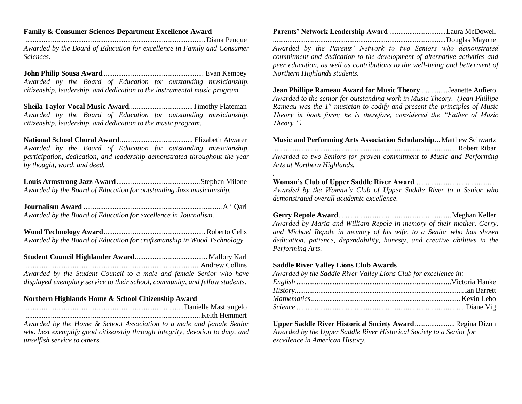#### **Family & Consumer Sciences Department Excellence Award**

...................................................................................................Diana Penque *Awarded by the Board of Education for excellence in Family and Consumer Sciences.*

**John Philip Sousa Award** ....................................................... Evan Kempey *Awarded by the Board of Education for outstanding musicianship, citizenship, leadership, and dedication to the instrumental music program.* 

**Sheila Taylor Vocal Music Award**...................................Timothy Flateman *Awarded by the Board of Education for outstanding musicianship, citizenship, leadership, and dedication to the music program.*

**National School Choral Award**........................................ Elizabeth Atwater *Awarded by the Board of Education for outstanding musicianship, participation, dedication, and leadership demonstrated throughout the year by thought, word, and deed.*

**Louis Armstrong Jazz Award**..............................................Stephen Milone *Awarded by the Board of Education for outstanding Jazz musicianship.*

**Journalism Award** ............................................................................Ali Qari *Awarded by the Board of Education for excellence in Journalism.*

**Wood Technology Award**........................................................Roberto Celis *Awarded by the Board of Education for craftsmanship in Wood Technology.*

**Student Council Highlander Award**........................................ Mallory Karl ................................................................................................Andrew Collins *Awarded by the Student Council to a male and female Senior who have displayed exemplary service to their school, community, and fellow students.*

#### **Northern Highlands Home & School Citizenship Award**

.......................................................................................Danielle Mastrangelo ................................................................................................ Keith Hemmert

*Awarded by the Home & School Association to a male and female Senior who best exemplify good citizenship through integrity, devotion to duty, and unselfish service to others.*

| Parents' Network Leadership Award Laura McDowell |  |
|--------------------------------------------------|--|
|                                                  |  |

*Awarded by the Parents' Network to two Seniors who demonstrated commitment and dedication to the development of alternative activities and peer education, as well as contributions to the well-being and betterment of Northern Highlands students.*

**Jean Phillipe Rameau Award for Music Theory**...............Jeanette Aufiero *Awarded to the senior for outstanding work in Music Theory. (Jean Phillipe Rameau was the 1st musician to codify and present the principles of Music Theory in book form; he is therefore, considered the "Father of Music Theory.")*

**Music and Performing Arts Association Scholarship**... Matthew Schwartz ..................................................................................................... Robert Ribar

*Awarded to two Seniors for proven commitment to Music and Performing Arts at Northern Highlands.*

#### **Woman's Club of Upper Saddle River Award**............................................

*.*

*Awarded by the Woman's Club of Upper Saddle River to a Senior who demonstrated overall academic excellence.*

**Gerry Repole Award**.............................................................. Meghan Keller *Awarded by Maria and William Repole in memory of their mother, Gerry, and Michael Repole in memory of his wife, to a Senior who has shown dedication, patience, dependability, honesty, and creative abilities in the Performing Arts.*

#### **Saddle River Valley Lions Club Awards**

*Awarded by the Saddle River Valley Lions Club for excellence in:* 

**Upper Saddle River Historical Society Award....................... Regina Dizon** *Awarded by the Upper Saddle River Historical Society to a Senior for excellence in American History.*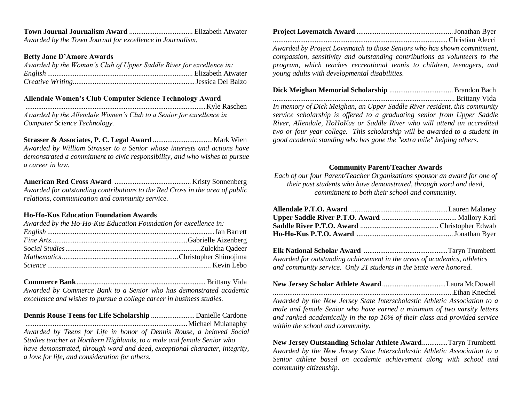#### **Town Journal Journalism Award** ................................... Elizabeth Atwater *Awarded by the Town Journal for excellence in Journalism.*

#### **Betty Jane D'Amore Awards**

| Awarded by the Woman's Club of Upper Saddle River for excellence in: |
|----------------------------------------------------------------------|
|                                                                      |
|                                                                      |

#### **Allendale Women's Club Computer Science Technology Award**

...................................................................................................Kyle Raschen

*Awarded by the Allendale Women's Club to a Senior for excellence in Computer Science Technology.*

**Strasser & Associates, P. C. Legal Award** .................................Mark Wien *Awarded by William Strasser to a Senior whose interests and actions have demonstrated a commitment to civic responsibility, and who wishes to pursue a career in law.*

**American Red Cross Award** .......................................... Kristy Sonnenberg *Awarded for outstanding contributions to the Red Cross in the area of public relations, communication and community service.*

#### **Ho-Ho-Kus Education Foundation Awards**

| Awarded by the Ho-Ho-Kus Education Foundation for excellence in: |  |
|------------------------------------------------------------------|--|
|                                                                  |  |
|                                                                  |  |
|                                                                  |  |
|                                                                  |  |
|                                                                  |  |

**Commerce Bank**....................................................................... Brittany Vida *Awarded by Commerce Bank to a Senior who has demonstrated academic excellence and wishes to pursue a college career in business studies.* 

**Dennis Rouse Teens for Life Scholarship** ........................ Danielle Cardone .........................................................................................Michael Mulanaphy

*Awarded by Teens for Life in honor of Dennis Rouse, a beloved Social Studies teacher at Northern Highlands, to a male and female Senior who have demonstrated, through word and deed, exceptional character, integrity, a love for life, and consideration for others.*

| Christian Alecci |  |
|------------------|--|

*Awarded by Project Lovematch to those Seniors who has shown commitment, compassion, sensitivity and outstanding contributions as volunteers to the program, which teaches recreational tennis to children, teenagers, and young adults with developmental disabilities.* 

**Dick Meighan Memorial Scholarship** ................................... Brandon Bach .................................................................................................... Brittany Vida *In memory of Dick Meighan, an Upper Saddle River resident, this community service scholarship is offered to a graduating senior from Upper Saddle River, Allendale, HoHoKus or Saddle River who will attend an accredited two or four year college. This scholarship will be awarded to a student in good academic standing who has gone the "extra mile" helping others.*

#### **Community Parent/Teacher Awards**

*Each of our four Parent/Teacher Organizations sponsor an award for one of their past students who have demonstrated, through word and deed, commitment to both their school and community.*

**Elk National Scholar Award** ..............................................Taryn Trumbetti *Awarded for outstanding achievement in the areas of academics, athletics and community service. Only 21 students in the State were honored.*

| Awarded by the New Jersey State Interscholastic Athletic Association to a     |  |
|-------------------------------------------------------------------------------|--|
| male and female Senior who have earned a minimum of two varsity letters       |  |
| and ranked academically in the top $10\%$ of their class and provided service |  |
| within the school and community.                                              |  |

**New Jersey Outstanding Scholar Athlete Award**..............Taryn Trumbetti *Awarded by the New Jersey State Interscholastic Athletic Association to a Senior athlete based on academic achievement along with school and community citizenship.*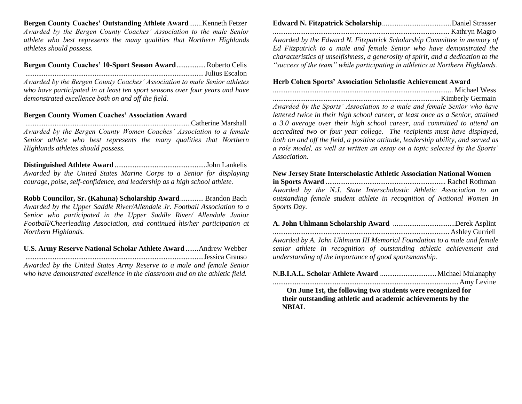**Bergen County Coaches' Outstanding Athlete Award**.......Kenneth Fetzer *Awarded by the Bergen County Coaches' Association to the male Senior athlete who best represents the many qualities that Northern Highlands athletes should possess.*

**Bergen County Coaches' 10-Sport Season Award**................Roberto Celis ..................................................................................................Julius Escalon *Awarded by the Bergen County Coaches' Association to male Senior athletes who have participated in at least ten sport seasons over four years and have demonstrated excellence both on and off the field.*

#### **Bergen County Women Coaches' Association Award**

...........................................................................................Catherine Marshall *Awarded by the Bergen County Women Coaches' Association to a female Senior athlete who best represents the many qualities that Northern Highlands athletes should possess.*

**Distinguished Athlete Award** ..................................................John Lankelis *Awarded by the United States Marine Corps to a Senior for displaying courage, poise, self-confidence, and leadership as a high school athlete.*

**Robb Councilor, Sr. (Kahuna) Scholarship Award**............. Brandon Bach *Awarded by the Upper Saddle River/Allendale Jr. Football Association to a Senior who participated in the Upper Saddle River/ Allendale Junior Football/Cheerleading Association, and continued his/her participation at Northern Highlands.*

**U.S. Army Reserve National Scholar Athlete Award** .......Andrew Webber ..................................................................................................Jessica Grauso *Awarded by the United States Army Reserve to a male and female Senior who have demonstrated excellence in the classroom and on the athletic field.*

*Awarded by the Edward N. Fitzpatrick Scholarship Committee in memory of Ed Fitzpatrick to a male and female Senior who have demonstrated the characteristics of unselfishness, a generosity of spirit, and a dedication to the "success of the team" while participating in athletics at Northern Highlands.*

#### **Herb Cohen Sports' Association Scholastic Achievement Award**

................................................................................................... Michael Wess ............................................................................................Kimberly Germain *Awarded by the Sports' Association to a male and female Senior who have lettered twice in their high school career, at least once as a Senior, attained a 3.0 average over their high school career, and committed to attend an accredited two or four year college. The recipients must have displayed, both on and off the field, a positive attitude, leadership ability, and served as a role model, as well as written an essay on a topic selected by the Sports' Association.*

**New Jersey State Interscholastic Athletic Association National Women in Sports Award** .................................................................. Rachel Rothman *Awarded by the N.J. State Interscholastic Athletic Association to an outstanding female student athlete in recognition of National Women In Sports Day.*

**A. John Uhlmann Scholarship Award** ..................................Derek Asplint ................................................................................................. Ashley Gurriell *Awarded by A. John Uhlmann III Memorial Foundation to a male and female senior athlete in recognition of outstanding athletic achievement and understanding of the importance of good sportsmanship.*

**On June 1st, the following two students were recognized for their outstanding athletic and academic achievements by the NBIAL**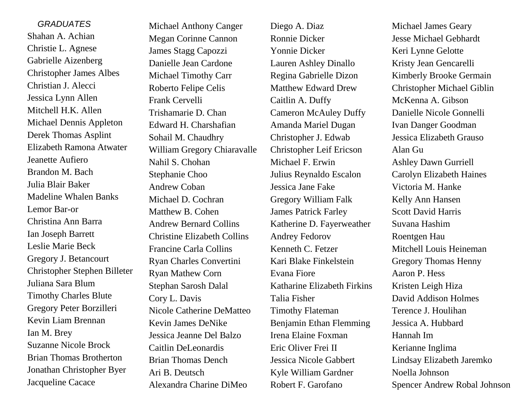*GRADUATES* Shahan A. Achian Christie L. Agnese Gabrielle Aizenberg Christopher James Albes Christian J. Alecci Jessica Lynn Allen Mitchell H.K. Allen Michael Dennis Appleton Derek Thomas Asplint Elizabeth Ramona Atwater Jeanette Aufiero Brandon M. Bach Julia Blair Baker Madeline Whalen Banks Lemor Bar-or Christina Ann Barra Ian Joseph Barrett Leslie Marie Beck Gregory J. Betancourt Christopher Stephen Billeter Juliana Sara Blum Timothy Charles Blute Gregory Peter Borzilleri Kevin Liam Brennan Ian M. Brey Suzanne Nicole Brock Brian Thomas Brotherton Jonathan Christopher Byer Jacqueline Cacace

Michael Anthony Canger Megan Corinne Cannon James Stagg Capozzi Danielle Jean Cardone Michael Timothy Carr Roberto Felipe Celis Frank Cervelli Trishamarie D. Chan Edward H. Charshafian Sohail M. Chaudhry William Gregory Chiaravalle Nahil S. Chohan Stephanie Choo Andrew Coban Michael D. Cochran Matthew B. Cohen Andrew Bernard Collins Christine Elizabeth Collins Francine Carla Collins Ryan Charles Convertini Ryan Mathew Corn Stephan Sarosh Dalal Cory L. Davis Nicole Catherine DeMatteo Kevin James DeNike Jessica Jeanne Del Balzo Caitlin DeLeonardis Brian Thomas Dench Ari B. Deutsch Alexandra Charine DiMeo

Diego A. Diaz Ronnie Dicker Yonnie Dicker Lauren Ashley Dinallo Regina Gabrielle Dizon Matthew Edward Drew Caitlin A. Duffy Cameron McAuley Duffy Amanda Mariel Dugan Christopher J. Edwab Christopher Leif Ericson Michael F. Erwin Julius Reynaldo Escalon Jessica Jane Fake Gregory William Falk James Patrick Farley Katherine D. Fayerweather Andrey Fedorov Kenneth C. Fetzer Kari Blake Finkelstein Evana Fiore Katharine Elizabeth Firkins Talia Fisher Timothy Flateman Benjamin Ethan Flemming Irena Elaine Foxman Eric Oliver Frei II Jessica Nicole Gabbert Kyle William Gardner Robert F. Garofano

Michael James Geary Jesse Michael Gebhardt Keri Lynne Gelotte Kristy Jean Gencarelli Kimberly Brooke Germain Christopher Michael Giblin McKenna A. Gibson Danielle Nicole Gonnelli Ivan Danger Goodman Jessica Elizabeth Grauso Alan Gu Ashley Dawn Gurriell Carolyn Elizabeth Haines Victoria M. Hanke Kelly Ann Hansen Scott David Harris Suvana Hashim Roentgen Hau Mitchell Louis Heineman Gregory Thomas Henny Aaron P. Hess Kristen Leigh Hiza David Addison Holmes Terence J. Houlihan Jessica A. Hubbard Hannah Im Kerianne Inglima Lindsay Elizabeth Jaremko Noella Johnson Spencer Andrew Robal Johnson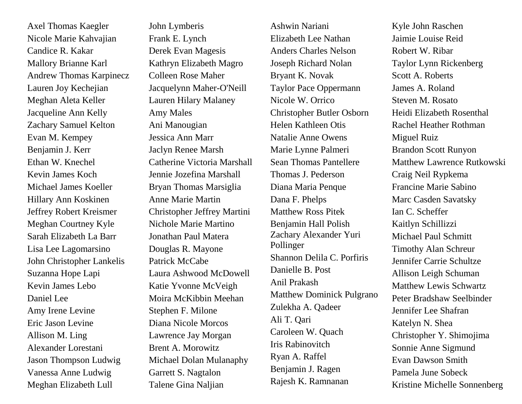Axel Thomas Kaegler Nicole Marie Kahvajian Candice R. Kakar Mallory Brianne Karl Andrew Thomas Karpinecz Lauren Joy Kechejian Meghan Aleta Keller Jacqueline Ann Kelly Zachary Samuel Kelton Evan M. Kempey Benjamin J. Kerr Ethan W. Knechel Kevin James Koch Michael James Koeller Hillary Ann Koskinen Jeffrey Robert Kreismer Meghan Courtney Kyle Sarah Elizabeth La Barr Lisa Lee Lagomarsino John Christopher Lankelis Suzanna Hope Lapi Kevin James Lebo Daniel Lee Amy Irene Levine Eric Jason Levine Allison M. Ling Alexander Lorestani Jason Thompson Ludwig Vanessa Anne Ludwig Meghan Elizabeth Lull

John Lymberis Frank E. Lynch Derek Evan Magesis Kathryn Elizabeth Magro Colleen Rose Maher Jacquelynn Maher-O'Neill Lauren Hilary Malaney Amy Males Ani Manougian Jessica Ann Marr Jaclyn Renee Marsh Catherine Victoria Marshall Jennie Jozefina Marshall Bryan Thomas Marsiglia Anne Marie Martin Christopher Jeffrey Martini Nichole Marie Martino Jonathan Paul Matera Douglas R. Mayone Patrick McCabe Laura Ashwood McDowell Katie Yvonne McVeigh Moira McKibbin Meehan Stephen F. Milone Diana Nicole Morcos Lawrence Jay Morgan Brent A. Morowitz Michael Dolan Mulanaphy Garrett S. Nagtalon Talene Gina Naljian

Ashwin Nariani Elizabeth Lee Nathan Anders Charles Nelson Joseph Richard Nolan Bryant K. Novak Taylor Pace Oppermann Nicole W. Orrico Christopher Butler Osborn Helen Kathleen Otis Natalie Anne Owens Marie Lynne Palmeri Sean Thomas Pantellere Thomas J. Pederson Diana Maria Penque Dana F. Phelps Matthew Ross Pitek Benjamin Hall Polish Zachary Alexander Yuri Pollinger Shannon Delila C. Porfiris Danielle B. Post Anil Prakash Matthew Dominick Pulgrano Zulekha A. Qadeer Ali T. Qari Caroleen W. Quach Iris Rabinovitch Ryan A. Raffel Benjamin J. Ragen Rajesh K. Ramnanan

Kyle John Raschen Jaimie Louise Reid Robert W. Ribar Taylor Lynn Rickenberg Scott A. Roberts James A. Roland Steven M. Rosato Heidi Elizabeth Rosenthal Rachel Heather Rothman Miguel Ruiz Brandon Scott Runyon Matthew Lawrence Rutkowski Craig Neil Rypkema Francine Marie Sabino Marc Casden Savatsky Ian C. Scheffer Kaitlyn Schillizzi Michael Paul Schmitt Timothy Alan Schreur Jennifer Carrie Schultze Allison Leigh Schuman Matthew Lewis Schwartz Peter Bradshaw Seelbinder Jennifer Lee Shafran Katelyn N. Shea Christopher Y. Shimojima Sonnie Anne Sigmund Evan Dawson Smith Pamela June Sobeck Kristine Michelle Sonnenberg